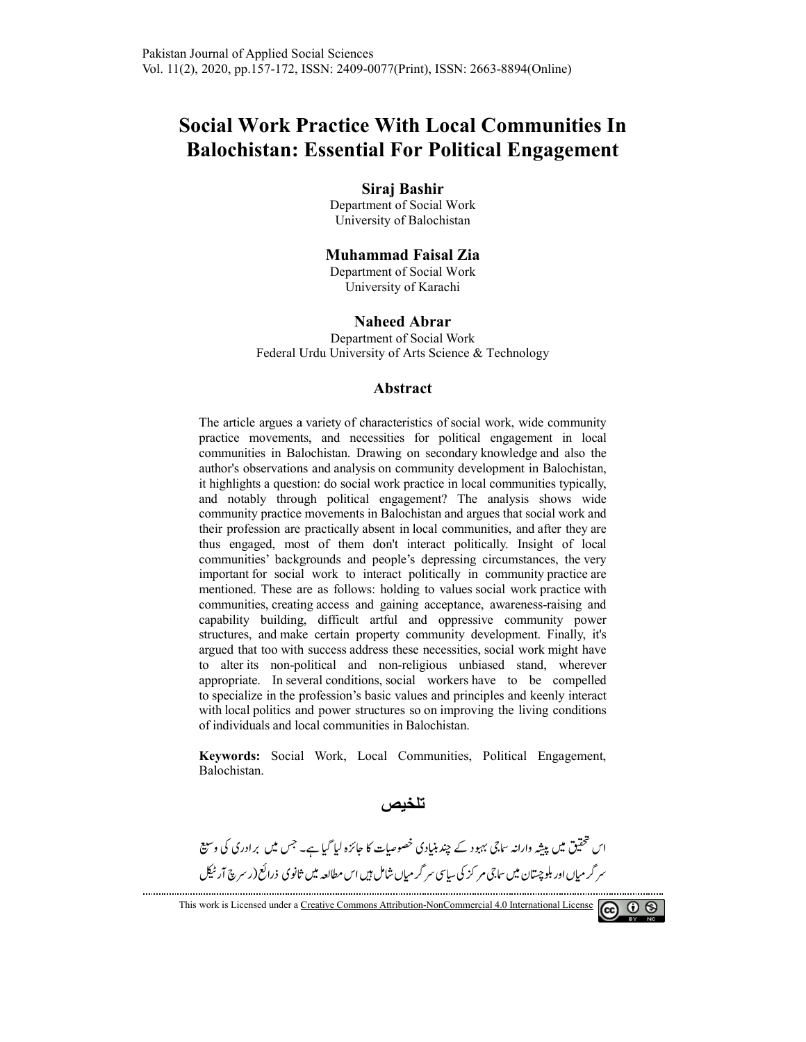# **Social Work Practice With Local Communities In Balochistan: Essential For Political Engagement or**

**Siraj Bashir** 

Department of Social Work University of Balochistan

#### **Muhammad Faisal Zia**

Department of Social Work University of Karachi

#### **Naheed Abrar**

Federal Urdu University of Arts Science & Technology Department of Social Work

#### **Abstract**

The article argues a a variety of characteristics of social work, wide community The article argues a variety of characteristics of social work, wide community practice movements, and necessities for political engagement in local communities in Balochistan. Drawing on secondary knowledge and also the author's observations and analysis on community development in Balochistan, it highlights a question: do social work practice in local communities typically, and notably through political engagement? The analysis shows wide community practice movements in Balochistan and argues that social work and their profession are practically absent in local communities, and after they are thus engaged, most of them don't interact politically. Insight of local communities' backgrounds and people's depressing circumstances, the very important for social work to interact politically in community practice are mentioned. These are as follows: holding to values social work practice with communities, creating access and gaining acceptance, awareness-raising and capability building, difficult artful and oppressive community power structures, and make certain property community development. Finally, it's argued that too with success address these necessities, social work might have to alter its non-political and non political and non-religious unbiased stand, wherever appropriate. In several conditions, social workers have to be compelled to specialize in the profession's basic values and principles and keenly interact with local politics and power structures so on improving the living conditions of individuals and local local communities in Balochistan. practice in local communities typically, gement? The analysis shows wide ochistan and argues that social work and in local communities, and after they are interact politically. Insight of local e's depressing circumstances

**Keywords:** Social Social Work, Local Communities, Political Engagement Balochistan.

 **تلخیص** 

اس محقیق میں پیشِه وارانه <sup>س</sup>اجی بہبود کے چند بنیادی خصوصیات کا جائزہ لیا گیا ہے۔ جس میں برادری کی و ستیع سر کر میاں اور بلوچستان میں ساجی مر کز کی سایپی سر کر میاں شامل ہیں اس مطالعہ میں ثانوی ذرائع(ر سرچ آر ٹیکل -

This work is Licensed under a Creative Commons Attribution-NonCommercial 4.0 International License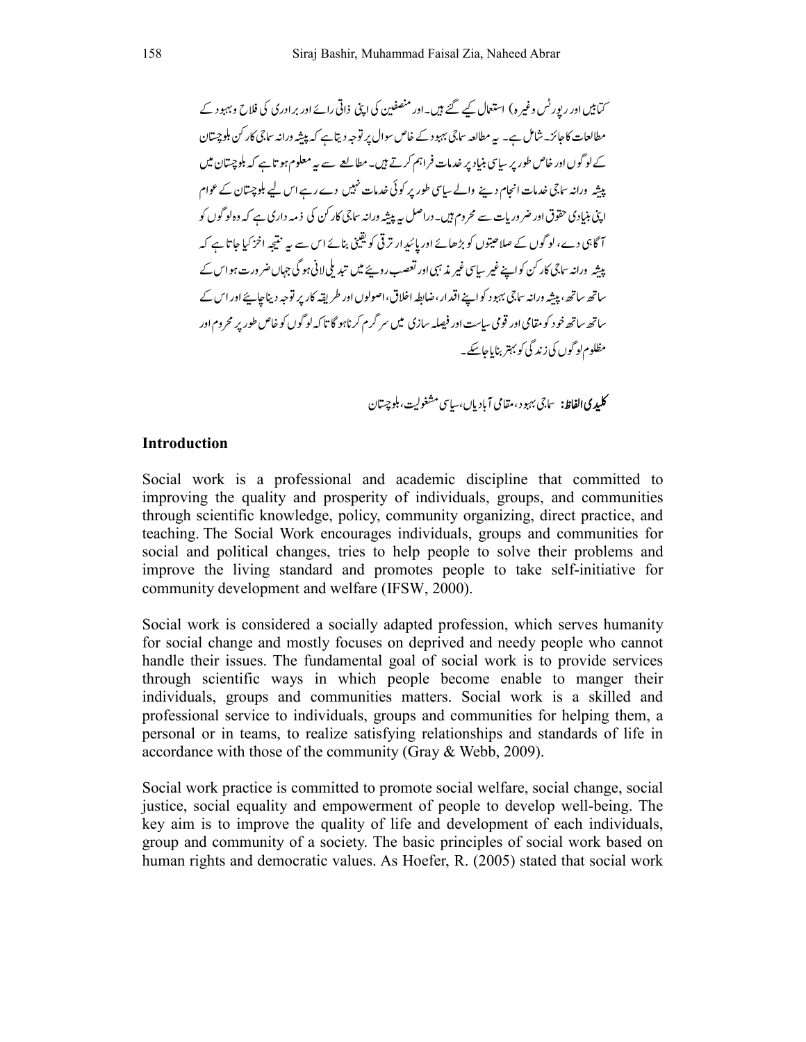کتابیں اور رپور کس وغیرہ) استعال کیے گئے ہیں۔اور منصفین کی اپنی ذاتی رائے اور بر ادری کی فلاح و بہبود کے --مطالعات کاجائز۔ شامل ہے۔ یہ مطالعہ ساجی بہبود کے خاص سوال پر توجہ دیتاہے کہ پیشہ ورانہ ساجی کار کن بلوچستان -کے لو گوں اور خاص طور پر سایپ بنیاد پر خدمات فراہم کرتے ہیں۔مطالعے سے ہیے معلوم ہو تاہے کہ بلوچستان میں ---پیشہ ورانہ ساجی خدمات انجام دینے والے سیاسی طور پر کوئی خدمات نہیں دے رہے اس لیے بلوچستان کے عوام -اپنی بنیادی حقوق اور ضر وریات سے محروم ہیں۔دراصل یہ پیشہ ورانہ ساجی کار کن کی ذمہ داری ہے کہ وہ لو گوں کو ----آگاہی دے، لو گوں کے صلاحیتوں کو بڑھائے اور پائیدار تر ٹی کو یقینی بنائے اس سے یہ نتیجہ اخز کیا جاتا ہے کہ **-**---پیشہ ورانہ ساجی کار کن کواپنے غیر سیاسی غیر مذہبی اور لعصب روپئے میں تبدیلی لانی ہو کی جہاں ضر ورت ہو اس کے ---ساتھ ساتھ، پیشہ ورانہ ساجی بہبو د کواپنے اقدار ،ضابطہ اخلاق، اصولوں اور طریقہ کار پر توجہ دیناجاپئے اور اس کے --------ساتھ ساتھ خو د کو مقامی اور قومی سیاست اور فیصلہ سازی میں سر کرم کرناہو گا تا کہ لو گوں کو خاص طور پر محروم اور -مظلوم لو گوں کی زند کی کو بہتر بنایاجاسکے۔ -

> **کلیدی الفاظ:** ساجی بهبود، مقامی آباد یاں،سیاسی مشغولیت، بلوچستان -

#### **Introduction**

Social work is a professional and academic discipline that committed to improving the quality and prosperity of individuals, groups, and communities through scientific knowledge, policy, community organizing, direct practice, and teaching. The Social Work encourages individuals, groups and communities for social and political changes, tries to help people to solve their problems and improve the living standard and promotes people to take self-initiative for community development and welfare (IFSW, 2000).

Social work is considered a socially adapted profession, which serves humanity for social change and mostly focuses on deprived and needy people who cannot handle their issues. The fundamental goal of social work is to provide services through scientific ways in which people become enable to manger their individuals, groups and communities matters. Social work is a skilled and professional service to individuals, groups and communities for helping them, a personal or in teams, to realize satisfying relationships and standards of life in accordance with those of the community (Gray & Webb, 2009).

Social work practice is committed to promote social welfare, social change, social justice, social equality and empowerment of people to develop well-being. The key aim is to improve the quality of life and development of each individuals, group and community of a society. The basic principles of social work based on human rights and democratic values. As Hoefer, R. (2005) stated that social work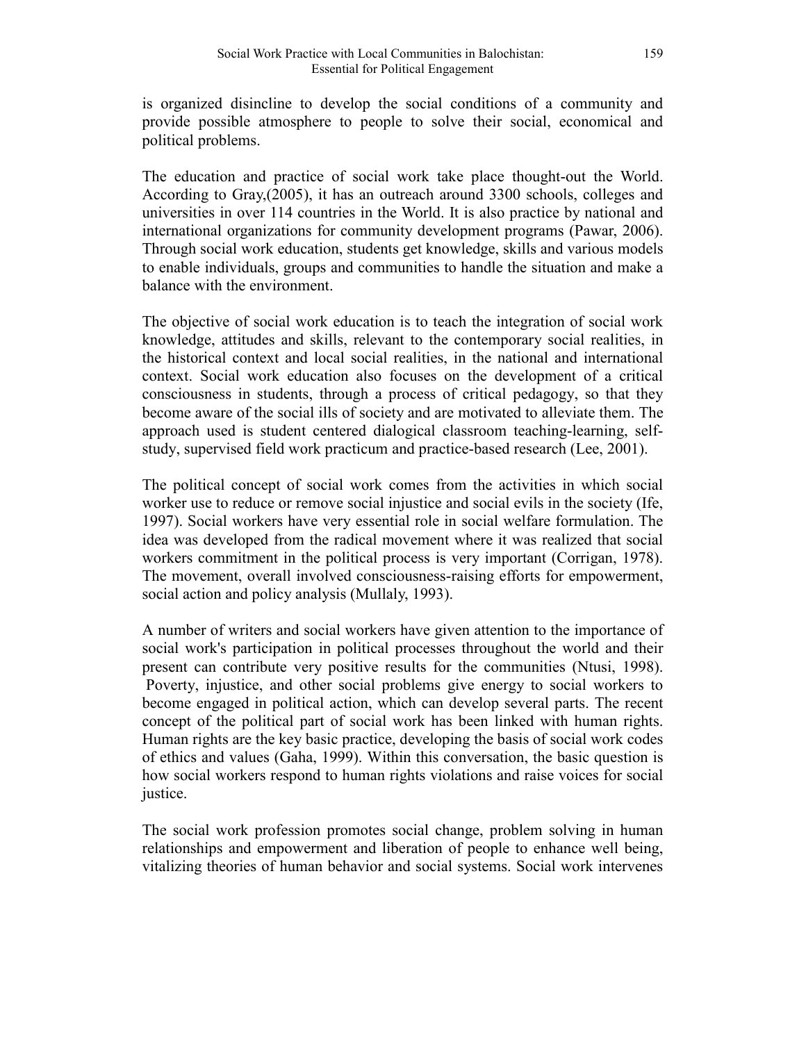is organized disincline to develop the social conditions of a community and provide possible atmosphere to people to solve their social, economical and political problems.

The education and practice of social work take place thought-out the World. According to Gray,(2005), it has an outreach around 3300 schools, colleges and universities in over 114 countries in the World. It is also practice by national and international organizations for community development programs (Pawar, 2006). Through social work education, students get knowledge, skills and various models to enable individuals, groups and communities to handle the situation and make a balance with the environment.

The objective of social work education is to teach the integration of social work knowledge, attitudes and skills, relevant to the contemporary social realities, in the historical context and local social realities, in the national and international context. Social work education also focuses on the development of a critical consciousness in students, through a process of critical pedagogy, so that they become aware of the social ills of society and are motivated to alleviate them. The approach used is student centered dialogical classroom teaching-learning, selfstudy, supervised field work practicum and practice-based research (Lee, 2001).

The political concept of social work comes from the activities in which social worker use to reduce or remove social injustice and social evils in the society (Ife, 1997). Social workers have very essential role in social welfare formulation. The idea was developed from the radical movement where it was realized that social workers commitment in the political process is very important (Corrigan, 1978). The movement, overall involved consciousness-raising efforts for empowerment, social action and policy analysis (Mullaly, 1993).

A number of writers and social workers have given attention to the importance of social work's participation in political processes throughout the world and their present can contribute very positive results for the communities (Ntusi, 1998). Poverty, injustice, and other social problems give energy to social workers to become engaged in political action, which can develop several parts. The recent concept of the political part of social work has been linked with human rights. Human rights are the key basic practice, developing the basis of social work codes of ethics and values (Gaha, 1999). Within this conversation, the basic question is how social workers respond to human rights violations and raise voices for social justice.

The social work profession promotes social change, problem solving in human relationships and empowerment and liberation of people to enhance well being, vitalizing theories of human behavior and social systems. Social work intervenes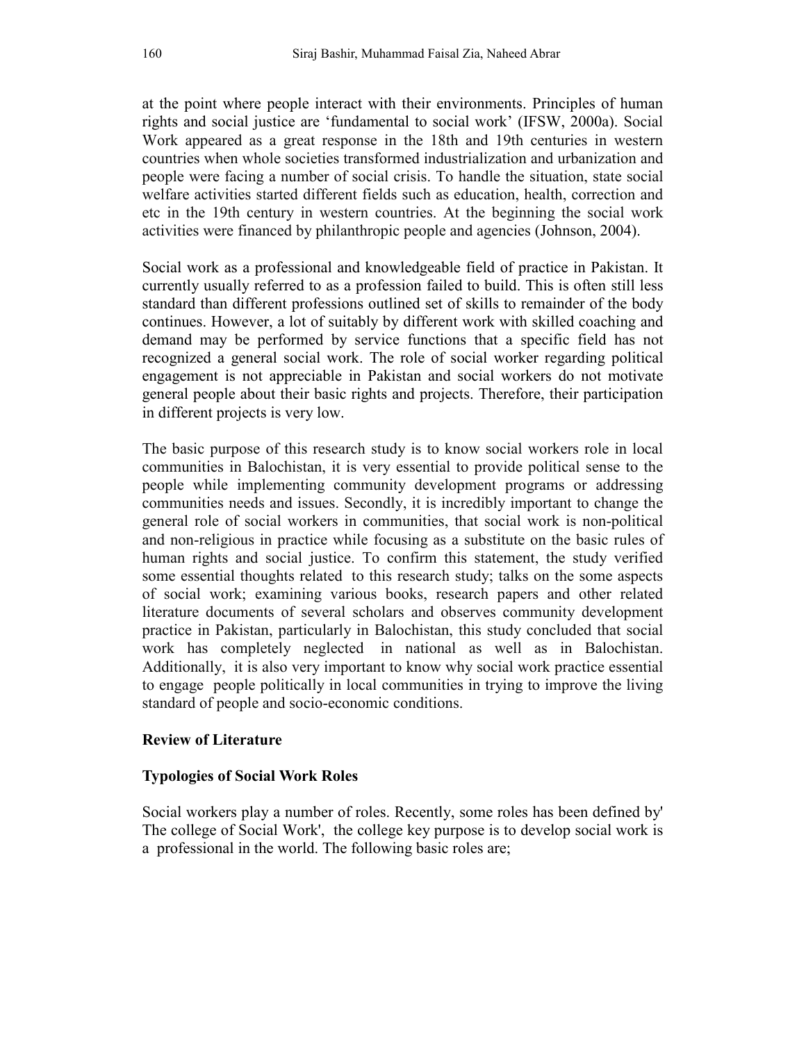at the point where people interact with their environments. Principles of human rights and social justice are 'fundamental to social work' (IFSW, 2000a). Social Work appeared as a great response in the 18th and 19th centuries in western countries when whole societies transformed industrialization and urbanization and people were facing a number of social crisis. To handle the situation, state social welfare activities started different fields such as education, health, correction and etc in the 19th century in western countries. At the beginning the social work activities were financed by philanthropic people and agencies (Johnson, 2004).

Social work as a professional and knowledgeable field of practice in Pakistan. It currently usually referred to as a profession failed to build. This is often still less standard than different professions outlined set of skills to remainder of the body continues. However, a lot of suitably by different work with skilled coaching and demand may be performed by service functions that a specific field has not recognized a general social work. The role of social worker regarding political engagement is not appreciable in Pakistan and social workers do not motivate general people about their basic rights and projects. Therefore, their participation in different projects is very low.

The basic purpose of this research study is to know social workers role in local communities in Balochistan, it is very essential to provide political sense to the people while implementing community development programs or addressing communities needs and issues. Secondly, it is incredibly important to change the general role of social workers in communities, that social work is non-political and non-religious in practice while focusing as a substitute on the basic rules of human rights and social justice. To confirm this statement, the study verified some essential thoughts related to this research study; talks on the some aspects of social work; examining various books, research papers and other related literature documents of several scholars and observes community development practice in Pakistan, particularly in Balochistan, this study concluded that social work has completely neglected in national as well as in Balochistan. Additionally, it is also very important to know why social work practice essential to engage people politically in local communities in trying to improve the living standard of people and socio-economic conditions.

#### **Review of Literature**

#### **Typologies of Social Work Roles**

Social workers play a number of roles. Recently, some roles has been defined by' The college of Social Work', the college key purpose is to develop social work is a professional in the world. The following basic roles are;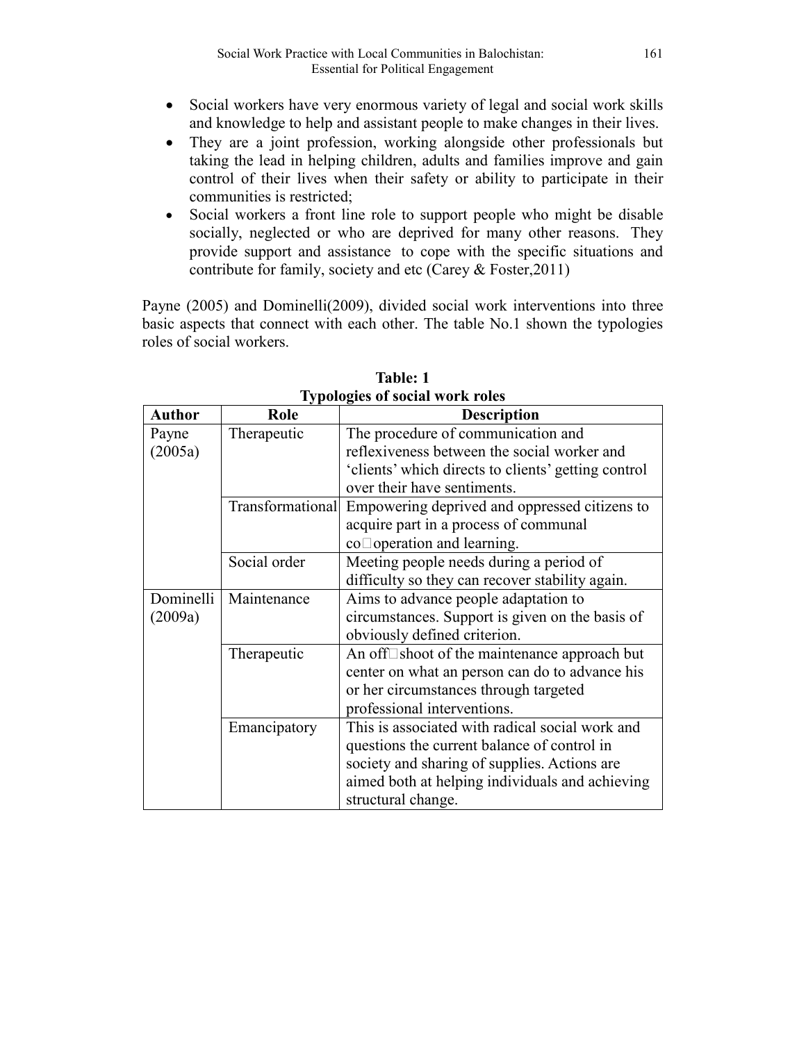- Social workers have very enormous variety of legal and social work skills and knowledge to help and assistant people to make changes in their lives.
- They are a joint profession, working alongside other professionals but taking the lead in helping children, adults and families improve and gain control of their lives when their safety or ability to participate in their communities is restricted;
- Social workers a front line role to support people who might be disable socially, neglected or who are deprived for many other reasons. They provide support and assistance to cope with the specific situations and contribute for family, society and etc (Carey & Foster,2011)

Payne (2005) and Dominelli(2009), divided social work interventions into three basic aspects that connect with each other. The table No.1 shown the typologies roles of social workers.

| <b>Author</b> | Role         | <b>Description</b>                                             |
|---------------|--------------|----------------------------------------------------------------|
| Payne         | Therapeutic  | The procedure of communication and                             |
| (2005a)       |              | reflexiveness between the social worker and                    |
|               |              | 'clients' which directs to clients' getting control            |
|               |              | over their have sentiments.                                    |
|               |              | Transformational Empowering deprived and oppressed citizens to |
|               |              | acquire part in a process of communal                          |
|               |              | $co\Box$ operation and learning.                               |
|               | Social order | Meeting people needs during a period of                        |
|               |              | difficulty so they can recover stability again.                |
| Dominelli     | Maintenance  | Aims to advance people adaptation to                           |
| (2009a)       |              | circumstances. Support is given on the basis of                |
|               |              | obviously defined criterion.                                   |
|               | Therapeutic  | An off $\square$ shoot of the maintenance approach but         |
|               |              | center on what an person can do to advance his                 |
|               |              | or her circumstances through targeted                          |
|               |              | professional interventions.                                    |
|               | Emancipatory | This is associated with radical social work and                |
|               |              | questions the current balance of control in                    |
|               |              | society and sharing of supplies. Actions are                   |
|               |              | aimed both at helping individuals and achieving                |
|               |              | structural change.                                             |

**Table: 1 Typologies of social work roles**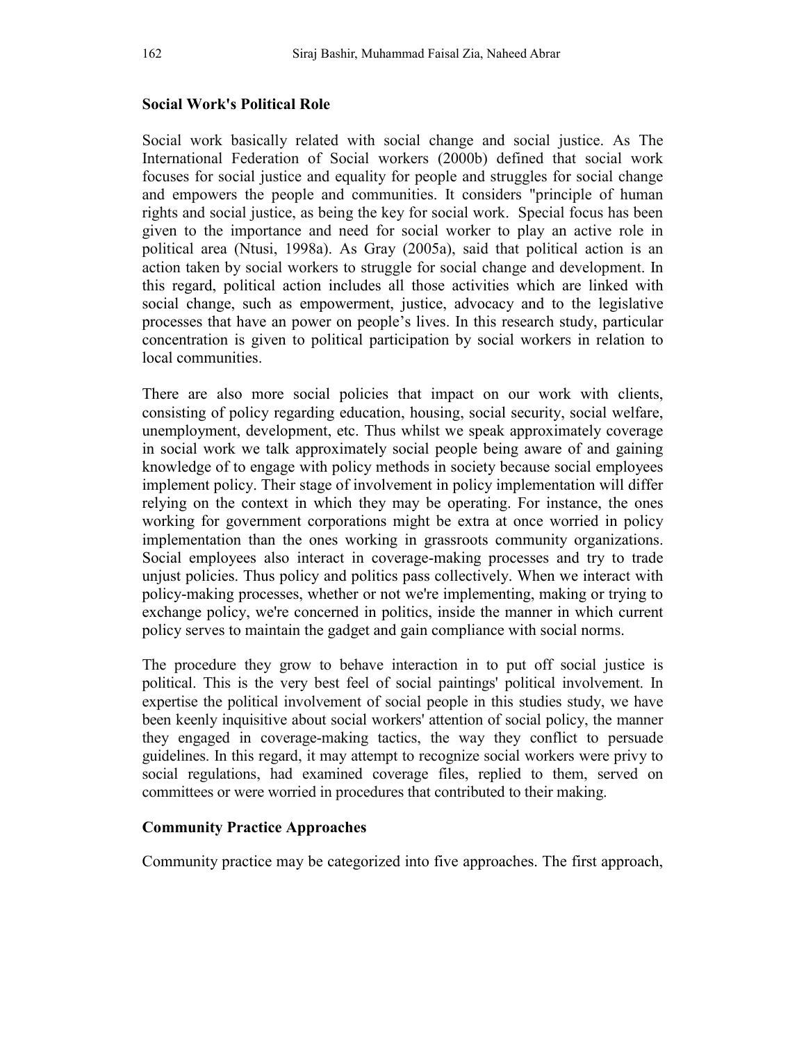### **Social Work's Political Role**

Social work basically related with social change and social justice. As The International Federation of Social workers (2000b) defined that social work focuses for social justice and equality for people and struggles for social change and empowers the people and communities. It considers "principle of human rights and social justice, as being the key for social work. Special focus has been given to the importance and need for social worker to play an active role in political area (Ntusi, 1998a). As Gray (2005a), said that political action is an action taken by social workers to struggle for social change and development. In this regard, political action includes all those activities which are linked with social change, such as empowerment, justice, advocacy and to the legislative processes that have an power on people's lives. In this research study, particular concentration is given to political participation by social workers in relation to local communities.

There are also more social policies that impact on our work with clients, consisting of policy regarding education, housing, social security, social welfare, unemployment, development, etc. Thus whilst we speak approximately coverage in social work we talk approximately social people being aware of and gaining knowledge of to engage with policy methods in society because social employees implement policy. Their stage of involvement in policy implementation will differ relying on the context in which they may be operating. For instance, the ones working for government corporations might be extra at once worried in policy implementation than the ones working in grassroots community organizations. Social employees also interact in coverage-making processes and try to trade unjust policies. Thus policy and politics pass collectively. When we interact with policy-making processes, whether or not we're implementing, making or trying to exchange policy, we're concerned in politics, inside the manner in which current policy serves to maintain the gadget and gain compliance with social norms.

The procedure they grow to behave interaction in to put off social justice is political. This is the very best feel of social paintings' political involvement. In expertise the political involvement of social people in this studies study, we have been keenly inquisitive about social workers' attention of social policy, the manner they engaged in coverage-making tactics, the way they conflict to persuade guidelines. In this regard, it may attempt to recognize social workers were privy to social regulations, had examined coverage files, replied to them, served on committees or were worried in procedures that contributed to their making.

### **Community Practice Approaches**

Community practice may be categorized into five approaches. The first approach,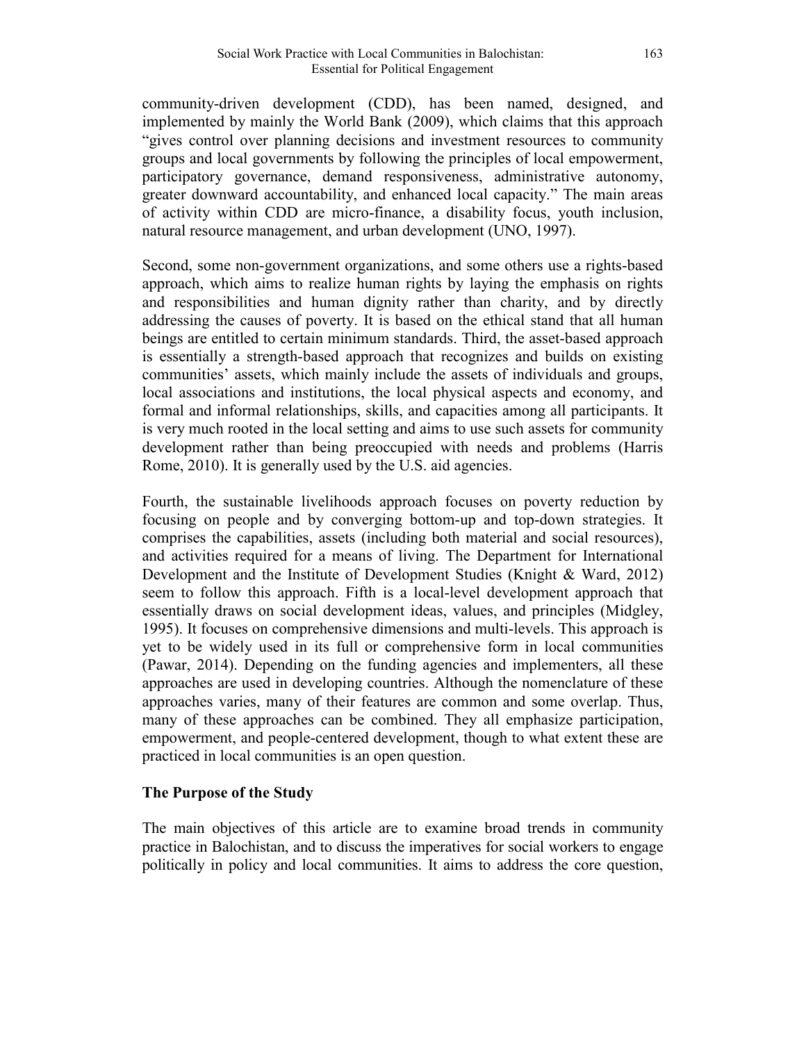community-driven development (CDD), has been named, designed, and implemented by mainly the World Bank (2009), which claims that this approach "gives control over planning decisions and investment resources to community groups and local governments by following the principles of local empowerment, participatory governance, demand responsiveness, administrative autonomy, greater downward accountability, and enhanced local capacity." The main areas of activity within CDD are micro-finance, a disability focus, youth inclusion, natural resource management, and urban development (UNO, 1997).

Second, some non-government organizations, and some others use a rights-based approach, which aims to realize human rights by laying the emphasis on rights and responsibilities and human dignity rather than charity, and by directly addressing the causes of poverty. It is based on the ethical stand that all human beings are entitled to certain minimum standards. Third, the asset-based approach is essentially a strength-based approach that recognizes and builds on existing communities' assets, which mainly include the assets of individuals and groups, local associations and institutions, the local physical aspects and economy, and formal and informal relationships, skills, and capacities among all participants. It is very much rooted in the local setting and aims to use such assets for community development rather than being preoccupied with needs and problems (Harris Rome, 2010). It is generally used by the U.S. aid agencies.

Fourth, the sustainable livelihoods approach focuses on poverty reduction by focusing on people and by converging bottom-up and top-down strategies. It comprises the capabilities, assets (including both material and social resources), and activities required for a means of living. The Department for International Development and the Institute of Development Studies (Knight & Ward, 2012) seem to follow this approach. Fifth is a local-level development approach that essentially draws on social development ideas, values, and principles (Midgley, 1995). It focuses on comprehensive dimensions and multi-levels. This approach is yet to be widely used in its full or comprehensive form in local communities (Pawar, 2014). Depending on the funding agencies and implementers, all these approaches are used in developing countries. Although the nomenclature of these approaches varies, many of their features are common and some overlap. Thus, many of these approaches can be combined. They all emphasize participation, empowerment, and people-centered development, though to what extent these are practiced in local communities is an open question.

### **The Purpose of the Study**

The main objectives of this article are to examine broad trends in community practice in Balochistan, and to discuss the imperatives for social workers to engage politically in policy and local communities. It aims to address the core question,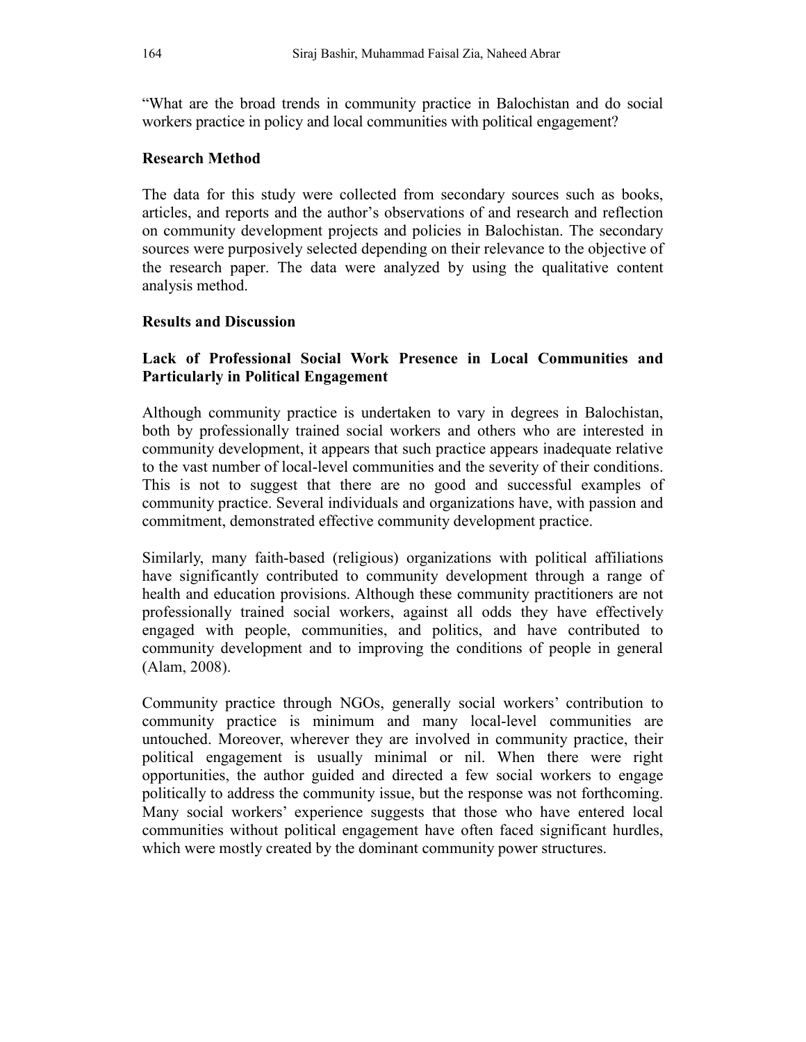"What are the broad trends in community practice in Balochistan and do social workers practice in policy and local communities with political engagement?

# **Research Method**

The data for this study were collected from secondary sources such as books, articles, and reports and the author's observations of and research and reflection on community development projects and policies in Balochistan. The secondary sources were purposively selected depending on their relevance to the objective of the research paper. The data were analyzed by using the qualitative content analysis method.

# **Results and Discussion**

# **Lack of Professional Social Work Presence in Local Communities and Particularly in Political Engagement**

Although community practice is undertaken to vary in degrees in Balochistan, both by professionally trained social workers and others who are interested in community development, it appears that such practice appears inadequate relative to the vast number of local-level communities and the severity of their conditions. This is not to suggest that there are no good and successful examples of community practice. Several individuals and organizations have, with passion and commitment, demonstrated effective community development practice.

Similarly, many faith-based (religious) organizations with political affiliations have significantly contributed to community development through a range of health and education provisions. Although these community practitioners are not professionally trained social workers, against all odds they have effectively engaged with people, communities, and politics, and have contributed to community development and to improving the conditions of people in general (Alam, 2008).

Community practice through NGOs, generally social workers' contribution to community practice is minimum and many local-level communities are untouched. Moreover, wherever they are involved in community practice, their political engagement is usually minimal or nil. When there were right opportunities, the author guided and directed a few social workers to engage politically to address the community issue, but the response was not forthcoming. Many social workers' experience suggests that those who have entered local communities without political engagement have often faced significant hurdles, which were mostly created by the dominant community power structures.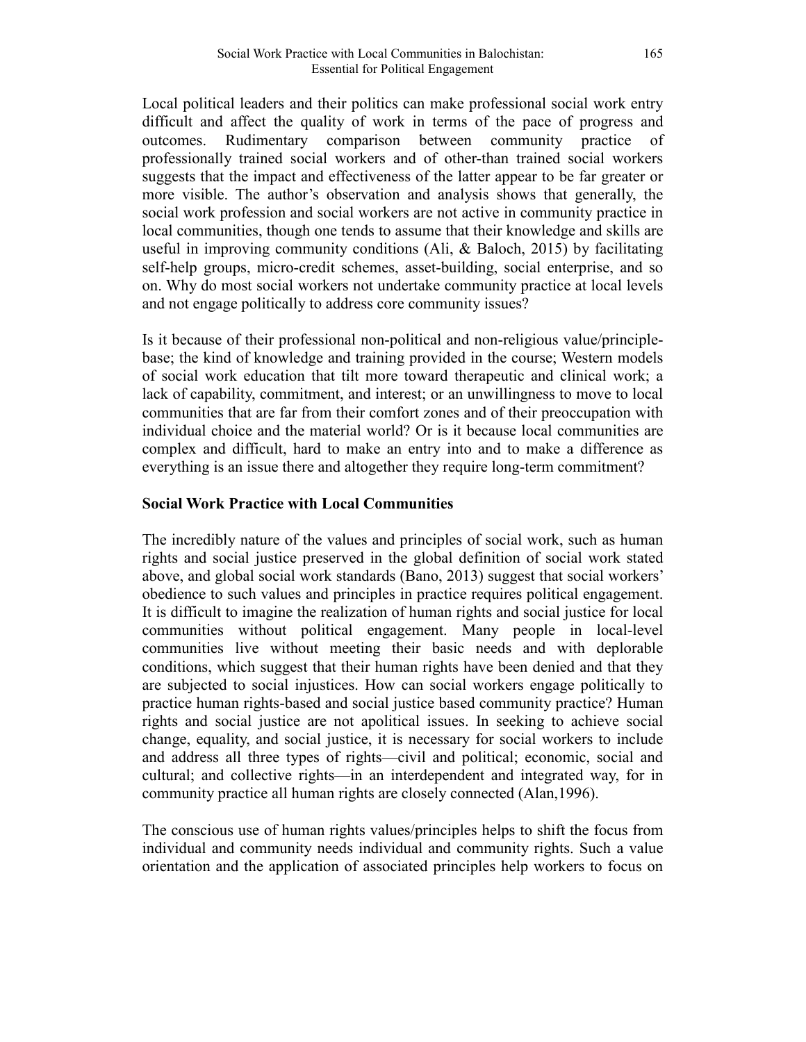Local political leaders and their politics can make professional social work entry difficult and affect the quality of work in terms of the pace of progress and outcomes. Rudimentary comparison between community practice of professionally trained social workers and of other-than trained social workers suggests that the impact and effectiveness of the latter appear to be far greater or more visible. The author's observation and analysis shows that generally, the social work profession and social workers are not active in community practice in local communities, though one tends to assume that their knowledge and skills are useful in improving community conditions (Ali, & Baloch, 2015) by facilitating self-help groups, micro-credit schemes, asset-building, social enterprise, and so on. Why do most social workers not undertake community practice at local levels and not engage politically to address core community issues?

Is it because of their professional non-political and non-religious value/principlebase; the kind of knowledge and training provided in the course; Western models of social work education that tilt more toward therapeutic and clinical work; a lack of capability, commitment, and interest; or an unwillingness to move to local communities that are far from their comfort zones and of their preoccupation with individual choice and the material world? Or is it because local communities are complex and difficult, hard to make an entry into and to make a difference as everything is an issue there and altogether they require long-term commitment?

# **Social Work Practice with Local Communities**

The incredibly nature of the values and principles of social work, such as human rights and social justice preserved in the global definition of social work stated above, and global social work standards (Bano, 2013) suggest that social workers' obedience to such values and principles in practice requires political engagement. It is difficult to imagine the realization of human rights and social justice for local communities without political engagement. Many people in local-level communities live without meeting their basic needs and with deplorable conditions, which suggest that their human rights have been denied and that they are subjected to social injustices. How can social workers engage politically to practice human rights-based and social justice based community practice? Human rights and social justice are not apolitical issues. In seeking to achieve social change, equality, and social justice, it is necessary for social workers to include and address all three types of rights—civil and political; economic, social and cultural; and collective rights—in an interdependent and integrated way, for in community practice all human rights are closely connected (Alan,1996).

The conscious use of human rights values/principles helps to shift the focus from individual and community needs individual and community rights. Such a value orientation and the application of associated principles help workers to focus on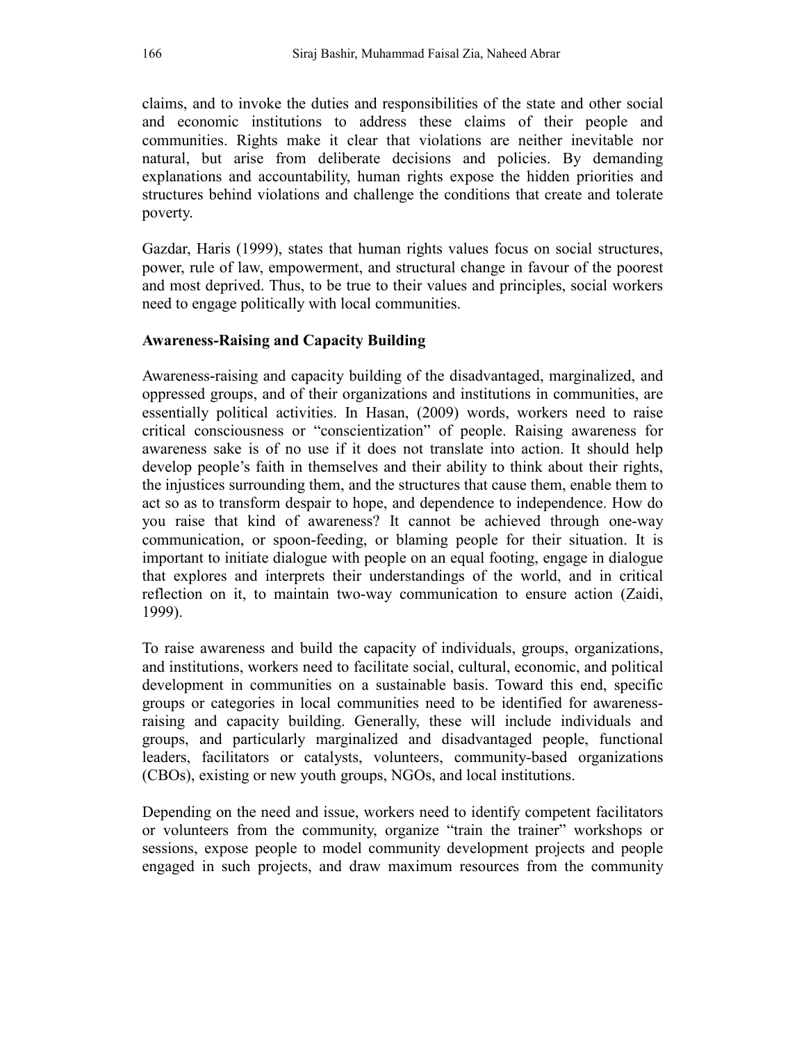claims, and to invoke the duties and responsibilities of the state and other social and economic institutions to address these claims of their people and communities. Rights make it clear that violations are neither inevitable nor natural, but arise from deliberate decisions and policies. By demanding explanations and accountability, human rights expose the hidden priorities and structures behind violations and challenge the conditions that create and tolerate poverty.

Gazdar, Haris (1999), states that human rights values focus on social structures, power, rule of law, empowerment, and structural change in favour of the poorest and most deprived. Thus, to be true to their values and principles, social workers need to engage politically with local communities.

# **Awareness-Raising and Capacity Building**

Awareness-raising and capacity building of the disadvantaged, marginalized, and oppressed groups, and of their organizations and institutions in communities, are essentially political activities. In Hasan, (2009) words, workers need to raise critical consciousness or "conscientization" of people. Raising awareness for awareness sake is of no use if it does not translate into action. It should help develop people's faith in themselves and their ability to think about their rights, the injustices surrounding them, and the structures that cause them, enable them to act so as to transform despair to hope, and dependence to independence. How do you raise that kind of awareness? It cannot be achieved through one-way communication, or spoon-feeding, or blaming people for their situation. It is important to initiate dialogue with people on an equal footing, engage in dialogue that explores and interprets their understandings of the world, and in critical reflection on it, to maintain two-way communication to ensure action (Zaidi, 1999).

To raise awareness and build the capacity of individuals, groups, organizations, and institutions, workers need to facilitate social, cultural, economic, and political development in communities on a sustainable basis. Toward this end, specific groups or categories in local communities need to be identified for awarenessraising and capacity building. Generally, these will include individuals and groups, and particularly marginalized and disadvantaged people, functional leaders, facilitators or catalysts, volunteers, community-based organizations (CBOs), existing or new youth groups, NGOs, and local institutions.

Depending on the need and issue, workers need to identify competent facilitators or volunteers from the community, organize "train the trainer" workshops or sessions, expose people to model community development projects and people engaged in such projects, and draw maximum resources from the community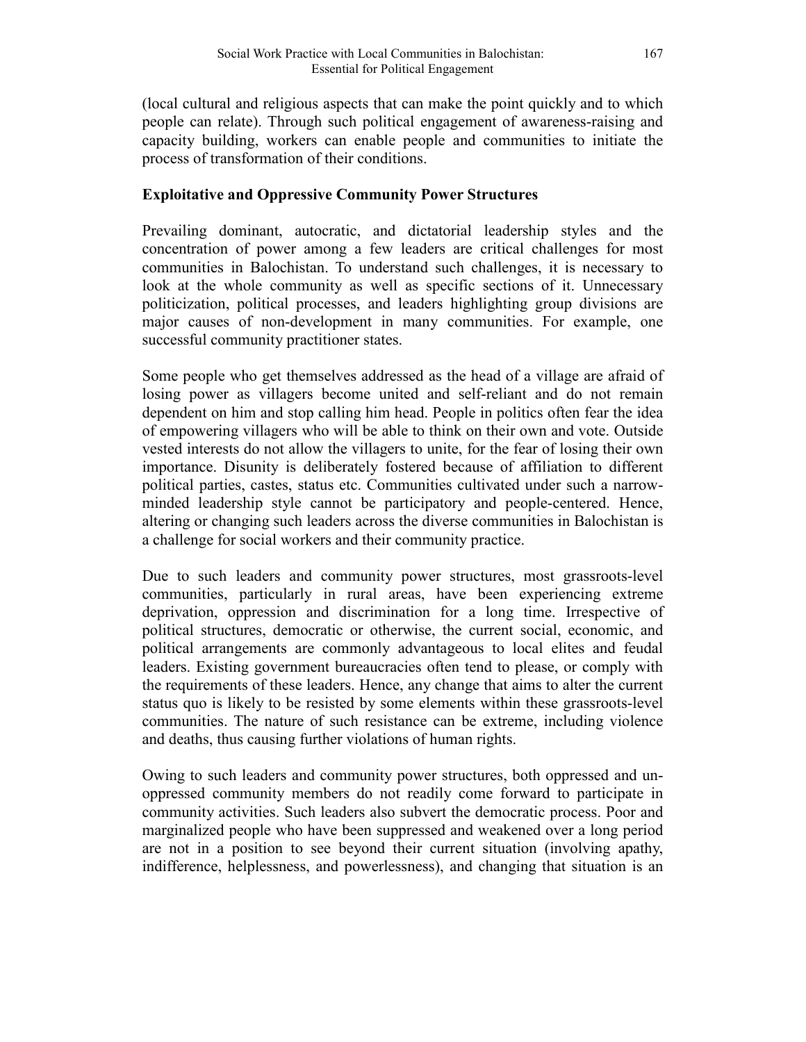(local cultural and religious aspects that can make the point quickly and to which people can relate). Through such political engagement of awareness-raising and capacity building, workers can enable people and communities to initiate the process of transformation of their conditions.

## **Exploitative and Oppressive Community Power Structures**

Prevailing dominant, autocratic, and dictatorial leadership styles and the concentration of power among a few leaders are critical challenges for most communities in Balochistan. To understand such challenges, it is necessary to look at the whole community as well as specific sections of it. Unnecessary politicization, political processes, and leaders highlighting group divisions are major causes of non-development in many communities. For example, one successful community practitioner states.

Some people who get themselves addressed as the head of a village are afraid of losing power as villagers become united and self-reliant and do not remain dependent on him and stop calling him head. People in politics often fear the idea of empowering villagers who will be able to think on their own and vote. Outside vested interests do not allow the villagers to unite, for the fear of losing their own importance. Disunity is deliberately fostered because of affiliation to different political parties, castes, status etc. Communities cultivated under such a narrowminded leadership style cannot be participatory and people-centered. Hence, altering or changing such leaders across the diverse communities in Balochistan is a challenge for social workers and their community practice.

Due to such leaders and community power structures, most grassroots-level communities, particularly in rural areas, have been experiencing extreme deprivation, oppression and discrimination for a long time. Irrespective of political structures, democratic or otherwise, the current social, economic, and political arrangements are commonly advantageous to local elites and feudal leaders. Existing government bureaucracies often tend to please, or comply with the requirements of these leaders. Hence, any change that aims to alter the current status quo is likely to be resisted by some elements within these grassroots-level communities. The nature of such resistance can be extreme, including violence and deaths, thus causing further violations of human rights.

Owing to such leaders and community power structures, both oppressed and unoppressed community members do not readily come forward to participate in community activities. Such leaders also subvert the democratic process. Poor and marginalized people who have been suppressed and weakened over a long period are not in a position to see beyond their current situation (involving apathy, indifference, helplessness, and powerlessness), and changing that situation is an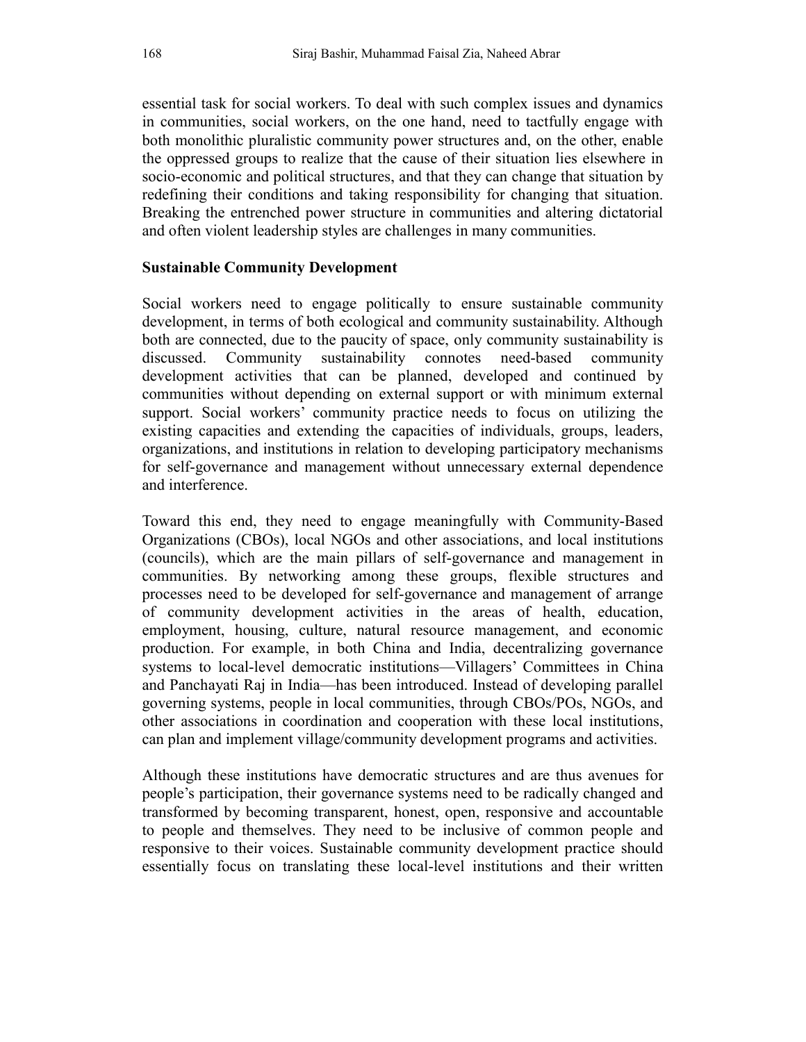essential task for social workers. To deal with such complex issues and dynamics in communities, social workers, on the one hand, need to tactfully engage with both monolithic pluralistic community power structures and, on the other, enable the oppressed groups to realize that the cause of their situation lies elsewhere in socio-economic and political structures, and that they can change that situation by redefining their conditions and taking responsibility for changing that situation. Breaking the entrenched power structure in communities and altering dictatorial and often violent leadership styles are challenges in many communities.

#### **Sustainable Community Development**

Social workers need to engage politically to ensure sustainable community development, in terms of both ecological and community sustainability. Although both are connected, due to the paucity of space, only community sustainability is discussed. Community sustainability connotes need-based community development activities that can be planned, developed and continued by communities without depending on external support or with minimum external support. Social workers' community practice needs to focus on utilizing the existing capacities and extending the capacities of individuals, groups, leaders, organizations, and institutions in relation to developing participatory mechanisms for self-governance and management without unnecessary external dependence and interference.

Toward this end, they need to engage meaningfully with Community-Based Organizations (CBOs), local NGOs and other associations, and local institutions (councils), which are the main pillars of self-governance and management in communities. By networking among these groups, flexible structures and processes need to be developed for self-governance and management of arrange of community development activities in the areas of health, education, employment, housing, culture, natural resource management, and economic production. For example, in both China and India, decentralizing governance systems to local-level democratic institutions—Villagers' Committees in China and Panchayati Raj in India—has been introduced. Instead of developing parallel governing systems, people in local communities, through CBOs/POs, NGOs, and other associations in coordination and cooperation with these local institutions, can plan and implement village/community development programs and activities.

Although these institutions have democratic structures and are thus avenues for people's participation, their governance systems need to be radically changed and transformed by becoming transparent, honest, open, responsive and accountable to people and themselves. They need to be inclusive of common people and responsive to their voices. Sustainable community development practice should essentially focus on translating these local-level institutions and their written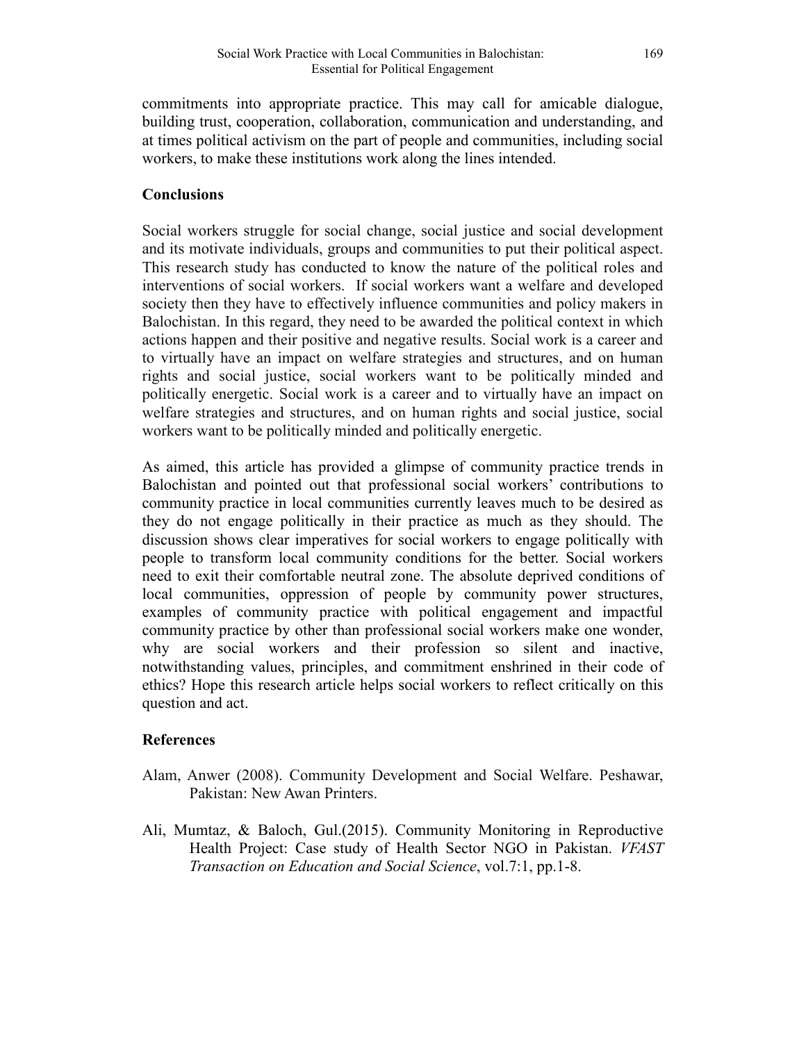commitments into appropriate practice. This may call for amicable dialogue, building trust, cooperation, collaboration, communication and understanding, and at times political activism on the part of people and communities, including social workers, to make these institutions work along the lines intended.

## **Conclusions**

Social workers struggle for social change, social justice and social development and its motivate individuals, groups and communities to put their political aspect. This research study has conducted to know the nature of the political roles and interventions of social workers. If social workers want a welfare and developed society then they have to effectively influence communities and policy makers in Balochistan. In this regard, they need to be awarded the political context in which actions happen and their positive and negative results. Social work is a career and to virtually have an impact on welfare strategies and structures, and on human rights and social justice, social workers want to be politically minded and politically energetic. Social work is a career and to virtually have an impact on welfare strategies and structures, and on human rights and social justice, social workers want to be politically minded and politically energetic.

As aimed, this article has provided a glimpse of community practice trends in Balochistan and pointed out that professional social workers' contributions to community practice in local communities currently leaves much to be desired as they do not engage politically in their practice as much as they should. The discussion shows clear imperatives for social workers to engage politically with people to transform local community conditions for the better. Social workers need to exit their comfortable neutral zone. The absolute deprived conditions of local communities, oppression of people by community power structures, examples of community practice with political engagement and impactful community practice by other than professional social workers make one wonder, why are social workers and their profession so silent and inactive, notwithstanding values, principles, and commitment enshrined in their code of ethics? Hope this research article helps social workers to reflect critically on this question and act.

### **References**

- Alam, Anwer (2008). Community Development and Social Welfare. Peshawar, Pakistan: New Awan Printers.
- Ali, Mumtaz, & Baloch, Gul.(2015). Community Monitoring in Reproductive Health Project: Case study of Health Sector NGO in Pakistan. *VFAST Transaction on Education and Social Science*, vol.7:1, pp.1-8.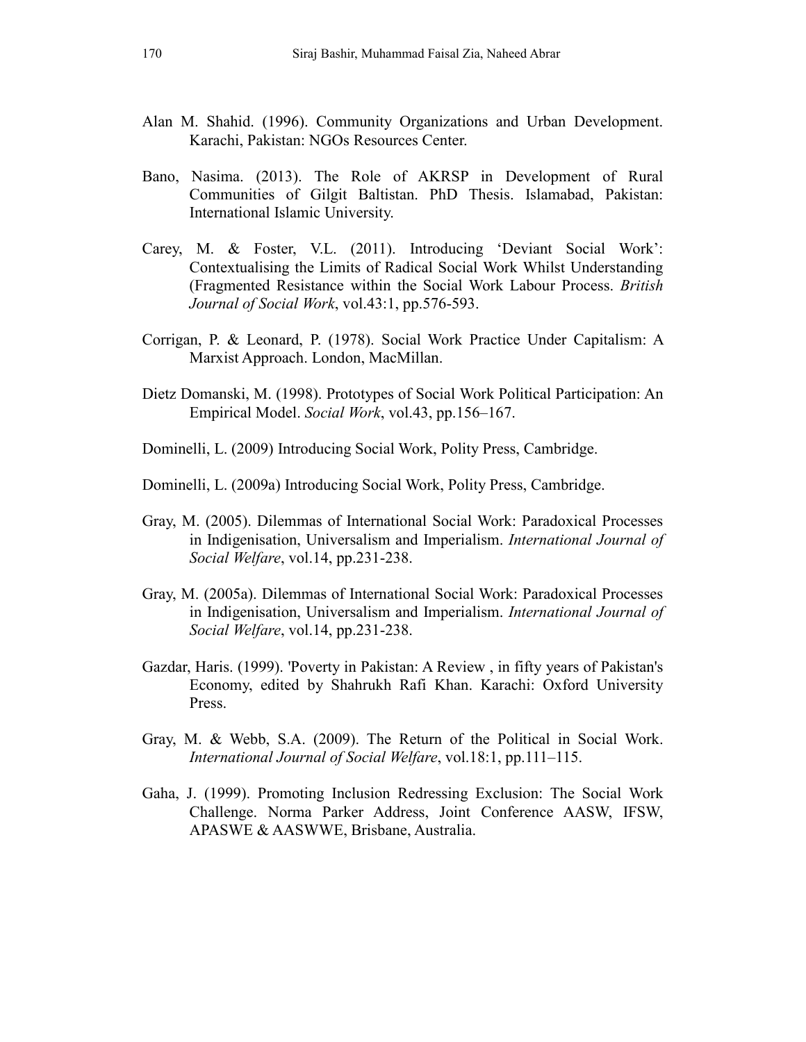- Alan M. Shahid. (1996). Community Organizations and Urban Development. Karachi, Pakistan: NGOs Resources Center.
- Bano, Nasima. (2013). The Role of AKRSP in Development of Rural Communities of Gilgit Baltistan. PhD Thesis. Islamabad, Pakistan: International Islamic University.
- Carey, M. & Foster, V.L. (2011). Introducing 'Deviant Social Work': Contextualising the Limits of Radical Social Work Whilst Understanding (Fragmented Resistance within the Social Work Labour Process. *British Journal of Social Work*, vol.43:1, pp.576-593.
- Corrigan, P. & Leonard, P. (1978). Social Work Practice Under Capitalism: A Marxist Approach. London, MacMillan.
- Dietz Domanski, M. (1998). Prototypes of Social Work Political Participation: An Empirical Model. *Social Work*, vol.43, pp.156–167.
- Dominelli, L. (2009) Introducing Social Work, Polity Press, Cambridge.
- Dominelli, L. (2009a) Introducing Social Work, Polity Press, Cambridge.
- Gray, M. (2005). Dilemmas of International Social Work: Paradoxical Processes in Indigenisation, Universalism and Imperialism. *International Journal of Social Welfare*, vol.14, pp.231-238.
- Gray, M. (2005a). Dilemmas of International Social Work: Paradoxical Processes in Indigenisation, Universalism and Imperialism. *International Journal of Social Welfare*, vol.14, pp.231-238.
- Gazdar, Haris. (1999). 'Poverty in Pakistan: A Review , in fifty years of Pakistan's Economy, edited by Shahrukh Rafi Khan. Karachi: Oxford University Press.
- Gray, M. & Webb, S.A. (2009). The Return of the Political in Social Work. *International Journal of Social Welfare*, vol.18:1, pp.111–115.
- Gaha, J. (1999). Promoting Inclusion Redressing Exclusion: The Social Work Challenge. Norma Parker Address, Joint Conference AASW, IFSW, APASWE & AASWWE, Brisbane, Australia.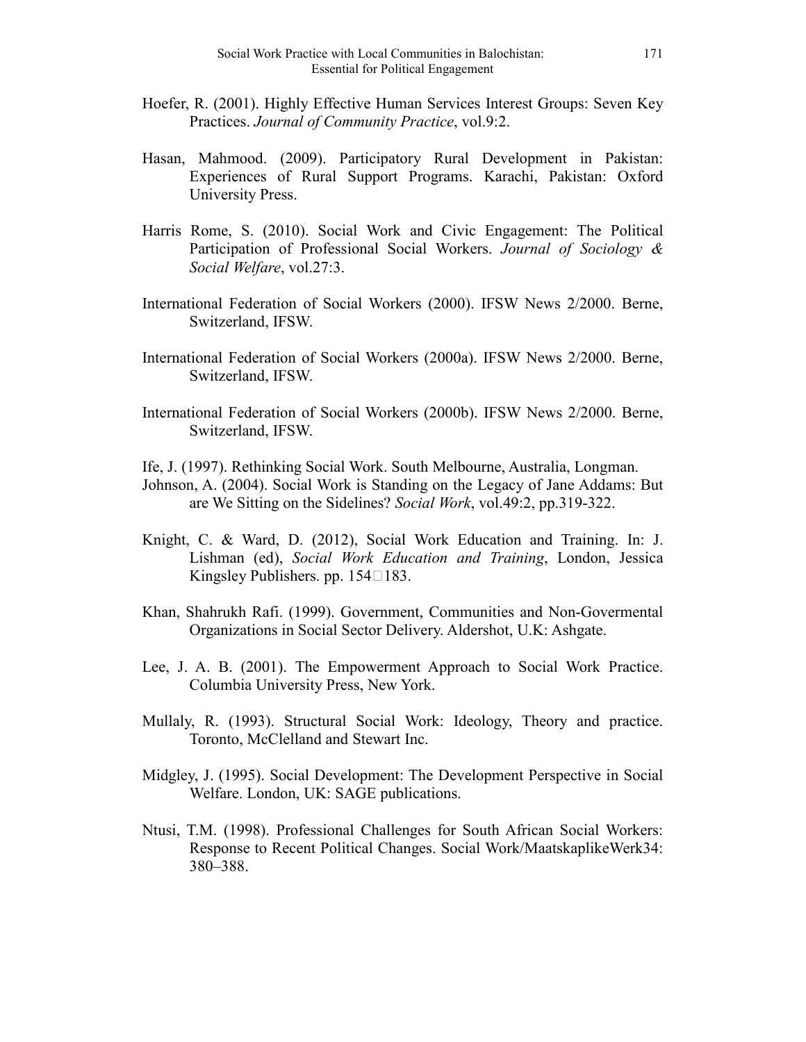- Hoefer, R. (2001). Highly Effective Human Services Interest Groups: Seven Key Practices. *Journal of Community Practice*, vol.9:2.
- Hasan, Mahmood. (2009). Participatory Rural Development in Pakistan: Experiences of Rural Support Programs. Karachi, Pakistan: Oxford University Press.
- Harris Rome, S. (2010). Social Work and Civic Engagement: The Political Participation of Professional Social Workers. *Journal of Sociology & Social Welfare*, vol.27:3.
- International Federation of Social Workers (2000). IFSW News 2/2000. Berne, Switzerland, IFSW.
- International Federation of Social Workers (2000a). IFSW News 2/2000. Berne, Switzerland, IFSW.
- International Federation of Social Workers (2000b). IFSW News 2/2000. Berne, Switzerland, IFSW.
- Ife, J. (1997). Rethinking Social Work. South Melbourne, Australia, Longman.
- Johnson, A. (2004). Social Work is Standing on the Legacy of Jane Addams: But are We Sitting on the Sidelines? *Social Work*, vol.49:2, pp.319-322.
- Knight, C. & Ward, D. (2012), Social Work Education and Training. In: J. Lishman (ed), *Social Work Education and Training*, London, Jessica Kingsley Publishers. pp.  $154\square 183$ .
- Khan, Shahrukh Rafi. (1999). Government, Communities and Non-Govermental Organizations in Social Sector Delivery. Aldershot, U.K: Ashgate.
- Lee, J. A. B. (2001). The Empowerment Approach to Social Work Practice. Columbia University Press, New York.
- Mullaly, R. (1993). Structural Social Work: Ideology, Theory and practice. Toronto, McClelland and Stewart Inc.
- Midgley, J. (1995). Social Development: The Development Perspective in Social Welfare. London, UK: SAGE publications.
- Ntusi, T.M. (1998). Professional Challenges for South African Social Workers: Response to Recent Political Changes. Social Work/MaatskaplikeWerk34: 380–388.